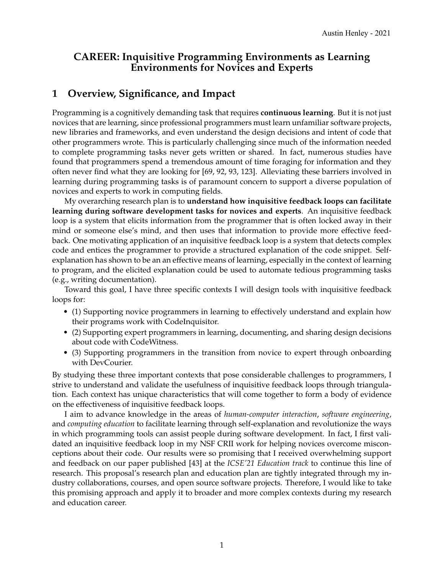# **CAREER: Inquisitive Programming Environments as Learning Environments for Novices and Experts**

# **1 Overview, Significance, and Impact**

Programming is a cognitively demanding task that requires **continuous learning**. But it is not just novices that are learning, since professional programmers must learn unfamiliar software projects, new libraries and frameworks, and even understand the design decisions and intent of code that other programmers wrote. This is particularly challenging since much of the information needed to complete programming tasks never gets written or shared. In fact, numerous studies have found that programmers spend a tremendous amount of time foraging for information and they often never find what they are looking for [69, 92, 93, 123]. Alleviating these barriers involved in learning during programming tasks is of paramount concern to support a diverse population of novices and experts to work in computing fields.

My overarching research plan is to **understand how inquisitive feedback loops can facilitate learning during software development tasks for novices and experts**. An inquisitive feedback loop is a system that elicits information from the programmer that is often locked away in their mind or someone else's mind, and then uses that information to provide more effective feedback. One motivating application of an inquisitive feedback loop is a system that detects complex code and entices the programmer to provide a structured explanation of the code snippet. Selfexplanation has shown to be an an effective means of learning, especially in the context of learning to program, and the elicited explanation could be used to automate tedious programming tasks (e.g., writing documentation).

Toward this goal, I have three specific contexts I will design tools with inquisitive feedback loops for:

- (1) Supporting novice programmers in learning to effectively understand and explain how their programs work with CodeInquisitor.
- (2) Supporting expert programmers in learning, documenting, and sharing design decisions about code with CodeWitness.
- (3) Supporting programmers in the transition from novice to expert through onboarding with DevCourier.

By studying these three important contexts that pose considerable challenges to programmers, I strive to understand and validate the usefulness of inquisitive feedback loops through triangulation. Each context has unique characteristics that will come together to form a body of evidence on the effectiveness of inquisitive feedback loops.

I aim to advance knowledge in the areas of *human-computer interaction*, *software engineering*, and *computing education* to facilitate learning through self-explanation and revolutionize the ways in which programming tools can assist people during software development. In fact, I first validated an inquisitive feedback loop in my NSF CRII work for helping novices overcome misconceptions about their code. Our results were so promising that I received overwhelming support and feedback on our paper published [43] at the *ICSE'21 Education track* to continue this line of research. This proposal's research plan and education plan are tightly integrated through my industry collaborations, courses, and open source software projects. Therefore, I would like to take this promising approach and apply it to broader and more complex contexts during my research and education career.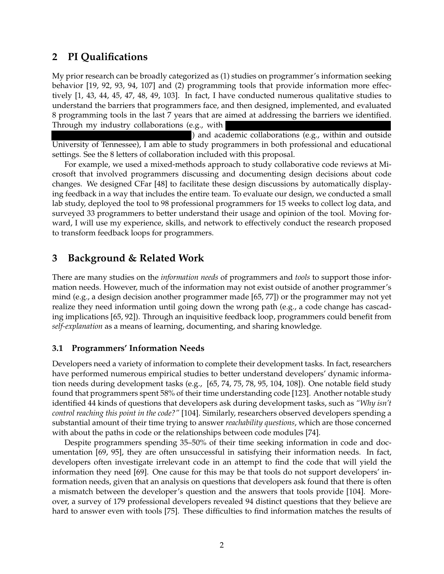# **2 PI Qualifications**

My prior research can be broadly categorized as (1) studies on programmer's information seeking behavior [19, 92, 93, 94, 107] and (2) programming tools that provide information more effectively [1, 43, 44, 45, 47, 48, 49, 103]. In fact, I have conducted numerous qualitative studies to understand the barriers that programmers face, and then designed, implemented, and evaluated 8 programming tools in the last 7 years that are aimed at addressing the barriers we identified. Through my industry collaborations (e.g., with

) and academic collaborations (e.g., within and outside University of Tennessee), I am able to study programmers in both professional and educational settings. See the 8 letters of collaboration included with this proposal.

For example, we used a mixed-methods approach to study collaborative code reviews at Microsoft that involved programmers discussing and documenting design decisions about code changes. We designed CFar [48] to facilitate these design discussions by automatically displaying feedback in a way that includes the entire team. To evaluate our design, we conducted a small lab study, deployed the tool to 98 professional programmers for 15 weeks to collect log data, and surveyed 33 programmers to better understand their usage and opinion of the tool. Moving forward, I will use my experience, skills, and network to effectively conduct the research proposed to transform feedback loops for programmers.

# **3 Background & Related Work**

There are many studies on the *information needs* of programmers and *tools* to support those information needs. However, much of the information may not exist outside of another programmer's mind (e.g., a design decision another programmer made [65, 77]) or the programmer may not yet realize they need information until going down the wrong path (e.g., a code change has cascading implications [65, 92]). Through an inquisitive feedback loop, programmers could benefit from *self-explanation* as a means of learning, documenting, and sharing knowledge.

## **3.1 Programmers' Information Needs**

Developers need a variety of information to complete their development tasks. In fact, researchers have performed numerous empirical studies to better understand developers' dynamic information needs during development tasks (e.g., [65, 74, 75, 78, 95, 104, 108]). One notable field study found that programmers spent 58% of their time understanding code [123]. Another notable study identified 44 kinds of questions that developers ask during development tasks, such as *"Why isn't control reaching this point in the code?"* [104]. Similarly, researchers observed developers spending a substantial amount of their time trying to answer *reachability questions*, which are those concerned with about the paths in code or the relationships between code modules [74].

Despite programmers spending 35–50% of their time seeking information in code and documentation [69, 95], they are often unsuccessful in satisfying their information needs. In fact, developers often investigate irrelevant code in an attempt to find the code that will yield the information they need [69]. One cause for this may be that tools do not support developers' information needs, given that an analysis on questions that developers ask found that there is often a mismatch between the developer's question and the answers that tools provide [104]. Moreover, a survey of 179 professional developers revealed 94 distinct questions that they believe are hard to answer even with tools [75]. These difficulties to find information matches the results of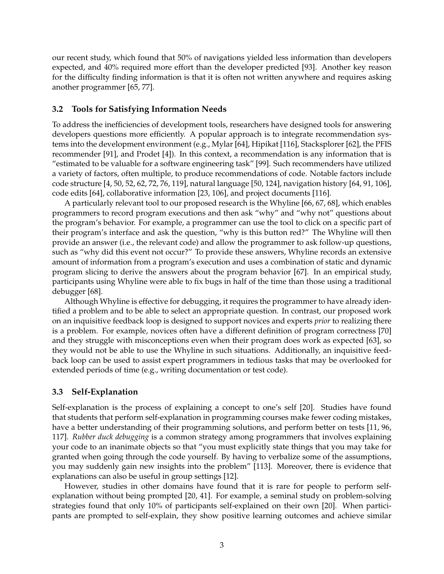our recent study, which found that 50% of navigations yielded less information than developers expected, and 40% required more effort than the developer predicted [93]. Another key reason for the difficulty finding information is that it is often not written anywhere and requires asking another programmer [65, 77].

#### **3.2 Tools for Satisfying Information Needs**

To address the inefficiencies of development tools, researchers have designed tools for answering developers questions more efficiently. A popular approach is to integrate recommendation systems into the development environment (e.g., Mylar [64], Hipikat [116], Stacksplorer [62], the PFIS recommender [91], and Prodet [4]). In this context, a recommendation is any information that is "estimated to be valuable for a software engineering task" [99]. Such recommenders have utilized a variety of factors, often multiple, to produce recommendations of code. Notable factors include code structure [4, 50, 52, 62, 72, 76, 119], natural language [50, 124], navigation history [64, 91, 106], code edits [64], collaborative information [23, 106], and project documents [116].

A particularly relevant tool to our proposed research is the Whyline [66, 67, 68], which enables programmers to record program executions and then ask "why" and "why not" questions about the program's behavior. For example, a programmer can use the tool to click on a specific part of their program's interface and ask the question, "why is this button red?" The Whyline will then provide an answer (i.e., the relevant code) and allow the programmer to ask follow-up questions, such as "why did this event not occur?" To provide these answers, Whyline records an extensive amount of information from a program's execution and uses a combination of static and dynamic program slicing to derive the answers about the program behavior [67]. In an empirical study, participants using Whyline were able to fix bugs in half of the time than those using a traditional debugger [68].

Although Whyline is effective for debugging, it requires the programmer to have already identified a problem and to be able to select an appropriate question. In contrast, our proposed work on an inquisitive feedback loop is designed to support novices and experts *prior* to realizing there is a problem. For example, novices often have a different definition of program correctness [70] and they struggle with misconceptions even when their program does work as expected [63], so they would not be able to use the Whyline in such situations. Additionally, an inquisitive feedback loop can be used to assist expert programmers in tedious tasks that may be overlooked for extended periods of time (e.g., writing documentation or test code).

### **3.3 Self-Explanation**

Self-explanation is the process of explaining a concept to one's self [20]. Studies have found that students that perform self-explanation in programming courses make fewer coding mistakes, have a better understanding of their programming solutions, and perform better on tests [11, 96, 117]. *Rubber duck debugging* is a common strategy among programmers that involves explaining your code to an inanimate objects so that "you must explicitly state things that you may take for granted when going through the code yourself. By having to verbalize some of the assumptions, you may suddenly gain new insights into the problem" [113]. Moreover, there is evidence that explanations can also be useful in group settings [12].

However, studies in other domains have found that it is rare for people to perform selfexplanation without being prompted [20, 41]. For example, a seminal study on problem-solving strategies found that only 10% of participants self-explained on their own [20]. When participants are prompted to self-explain, they show positive learning outcomes and achieve similar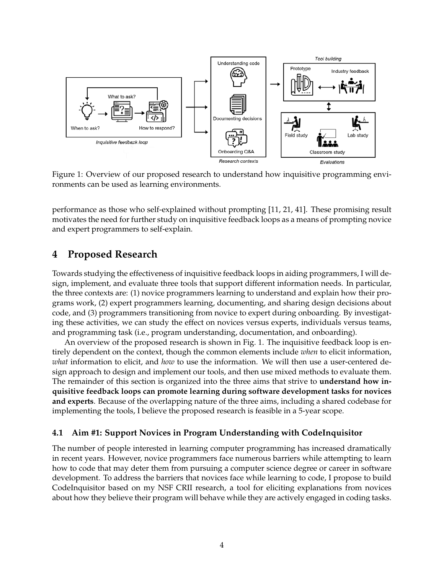

Figure 1: Overview of our proposed research to understand how inquisitive programming environments can be used as learning environments.

performance as those who self-explained without prompting [11, 21, 41]. These promising result motivates the need for further study on inquisitive feedback loops as a means of prompting novice and expert programmers to self-explain.

## **4 Proposed Research**

Towards studying the effectiveness of inquisitive feedback loops in aiding programmers, I will design, implement, and evaluate three tools that support different information needs. In particular, the three contexts are: (1) novice programmers learning to understand and explain how their programs work, (2) expert programmers learning, documenting, and sharing design decisions about code, and (3) programmers transitioning from novice to expert during onboarding. By investigating these activities, we can study the effect on novices versus experts, individuals versus teams, and programming task (i.e., program understanding, documentation, and onboarding).

An overview of the proposed research is shown in Fig. 1. The inquisitive feedback loop is entirely dependent on the context, though the common elements include *when* to elicit information, *what* information to elicit, and *how* to use the information. We will then use a user-centered design approach to design and implement our tools, and then use mixed methods to evaluate them. The remainder of this section is organized into the three aims that strive to **understand how inquisitive feedback loops can promote learning during software development tasks for novices and experts**. Because of the overlapping nature of the three aims, including a shared codebase for implementing the tools, I believe the proposed research is feasible in a 5-year scope.

### **4.1 Aim #1: Support Novices in Program Understanding with CodeInquisitor**

The number of people interested in learning computer programming has increased dramatically in recent years. However, novice programmers face numerous barriers while attempting to learn how to code that may deter them from pursuing a computer science degree or career in software development. To address the barriers that novices face while learning to code, I propose to build CodeInquisitor based on my NSF CRII research, a tool for eliciting explanations from novices about how they believe their program will behave while they are actively engaged in coding tasks.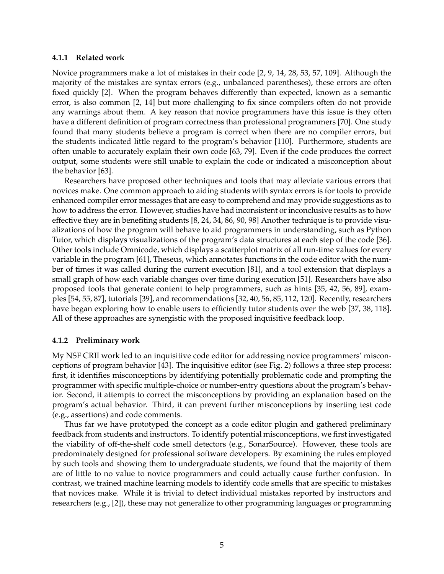#### **4.1.1 Related work**

Novice programmers make a lot of mistakes in their code [2, 9, 14, 28, 53, 57, 109]. Although the majority of the mistakes are syntax errors (e.g., unbalanced parentheses), these errors are often fixed quickly [2]. When the program behaves differently than expected, known as a semantic error, is also common [2, 14] but more challenging to fix since compilers often do not provide any warnings about them. A key reason that novice programmers have this issue is they often have a different definition of program correctness than professional programmers [70]. One study found that many students believe a program is correct when there are no compiler errors, but the students indicated little regard to the program's behavior [110]. Furthermore, students are often unable to accurately explain their own code [63, 79]. Even if the code produces the correct output, some students were still unable to explain the code or indicated a misconception about the behavior [63].

Researchers have proposed other techniques and tools that may alleviate various errors that novices make. One common approach to aiding students with syntax errors is for tools to provide enhanced compiler error messages that are easy to comprehend and may provide suggestions as to how to address the error. However, studies have had inconsistent or inconclusive results as to how effective they are in benefiting students [8, 24, 34, 86, 90, 98] Another technique is to provide visualizations of how the program will behave to aid programmers in understanding, such as Python Tutor, which displays visualizations of the program's data structures at each step of the code [36]. Other tools include Omnicode, which displays a scatterplot matrix of all run-time values for every variable in the program [61], Theseus, which annotates functions in the code editor with the number of times it was called during the current execution [81], and a tool extension that displays a small graph of how each variable changes over time during execution [51]. Researchers have also proposed tools that generate content to help programmers, such as hints [35, 42, 56, 89], examples [54, 55, 87], tutorials [39], and recommendations [32, 40, 56, 85, 112, 120]. Recently, researchers have began exploring how to enable users to efficiently tutor students over the web [37, 38, 118]. All of these approaches are synergistic with the proposed inquisitive feedback loop.

#### **4.1.2 Preliminary work**

My NSF CRII work led to an inquisitive code editor for addressing novice programmers' misconceptions of program behavior [43]. The inquisitive editor (see Fig. 2) follows a three step process: first, it identifies misconceptions by identifying potentially problematic code and prompting the programmer with specific multiple-choice or number-entry questions about the program's behavior. Second, it attempts to correct the misconceptions by providing an explanation based on the program's actual behavior. Third, it can prevent further misconceptions by inserting test code (e.g., assertions) and code comments.

Thus far we have prototyped the concept as a code editor plugin and gathered preliminary feedback from students and instructors. To identify potential misconceptions, we first investigated the viability of off-the-shelf code smell detectors (e.g., SonarSource). However, these tools are predominately designed for professional software developers. By examining the rules employed by such tools and showing them to undergraduate students, we found that the majority of them are of little to no value to novice programmers and could actually cause further confusion. In contrast, we trained machine learning models to identify code smells that are specific to mistakes that novices make. While it is trivial to detect individual mistakes reported by instructors and researchers (e.g., [2]), these may not generalize to other programming languages or programming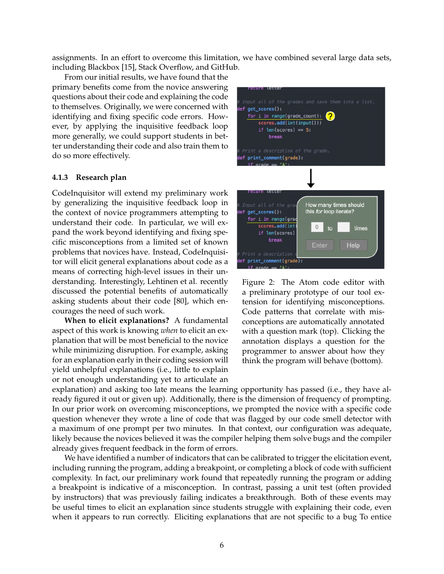assignments. In an effort to overcome this limitation, we have combined several large data sets, including Blackbox [15], Stack Overflow, and GitHub.

From our initial results, we have found that the primary benefits come from the novice answering questions about their code and explaining the code to themselves. Originally, we were concerned with identifying and fixing specific code errors. However, by applying the inquisitive feedback loop more generally, we could support students in better understanding their code and also train them to do so more effectively.

#### **4.1.3 Research plan**

CodeInquisitor will extend my preliminary work by generalizing the inquisitive feedback loop in the context of novice programmers attempting to understand their code. In particular, we will expand the work beyond identifying and fixing specific misconceptions from a limited set of known problems that novices have. Instead, CodeInquisitor will elicit general explanations about code as a means of correcting high-level issues in their understanding. Interestingly, Lehtinen et al. recently discussed the potential benefits of automatically asking students about their code [80], which encourages the need of such work.

**When to elicit explanations?** A fundamental aspect of this work is knowing *when* to elicit an explanation that will be most beneficial to the novice while minimizing disruption. For example, asking for an explanation early in their coding session will yield unhelpful explanations (i.e., little to explain or not enough understanding yet to articulate an



Figure 2: The Atom code editor with a preliminary prototype of our tool extension for identifying misconceptions. Code patterns that correlate with misconceptions are automatically annotated with a question mark (top). Clicking the annotation displays a question for the programmer to answer about how they think the program will behave (bottom).

explanation) and asking too late means the learning opportunity has passed (i.e., they have already figured it out or given up). Additionally, there is the dimension of frequency of prompting. In our prior work on overcoming misconceptions, we prompted the novice with a specific code question whenever they wrote a line of code that was flagged by our code smell detector with a maximum of one prompt per two minutes. In that context, our configuration was adequate, likely because the novices believed it was the compiler helping them solve bugs and the compiler already gives frequent feedback in the form of errors.

We have identified a number of indicators that can be calibrated to trigger the elicitation event, including running the program, adding a breakpoint, or completing a block of code with sufficient complexity. In fact, our preliminary work found that repeatedly running the program or adding a breakpoint is indicative of a misconception. In contrast, passing a unit test (often provided by instructors) that was previously failing indicates a breakthrough. Both of these events may be useful times to elicit an explanation since students struggle with explaining their code, even when it appears to run correctly. Eliciting explanations that are not specific to a bug To entice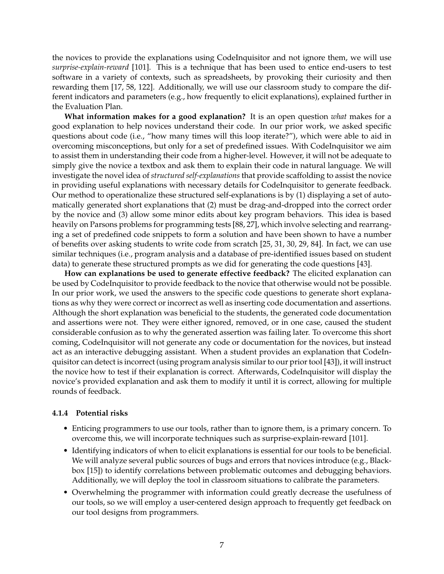the novices to provide the explanations using CodeInquisitor and not ignore them, we will use *surprise-explain-reward* [101]. This is a technique that has been used to entice end-users to test software in a variety of contexts, such as spreadsheets, by provoking their curiosity and then rewarding them [17, 58, 122]. Additionally, we will use our classroom study to compare the different indicators and parameters (e.g., how frequently to elicit explanations), explained further in the Evaluation Plan.

**What information makes for a good explanation?** It is an open question *what* makes for a good explanation to help novices understand their code. In our prior work, we asked specific questions about code (i.e., "how many times will this loop iterate?"), which were able to aid in overcoming misconceptions, but only for a set of predefined issues. With CodeInquisitor we aim to assist them in understanding their code from a higher-level. However, it will not be adequate to simply give the novice a textbox and ask them to explain their code in natural language. We will investigate the novel idea of *structured self-explanations* that provide scaffolding to assist the novice in providing useful explanations with necessary details for CodeInquisitor to generate feedback. Our method to operationalize these structured self-explanations is by (1) displaying a set of automatically generated short explanations that (2) must be drag-and-dropped into the correct order by the novice and (3) allow some minor edits about key program behaviors. This idea is based heavily on Parsons problems for programming tests [88, 27], which involve selecting and rearranging a set of predefined code snippets to form a solution and have been shown to have a number of benefits over asking students to write code from scratch [25, 31, 30, 29, 84]. In fact, we can use similar techniques (i.e., program analysis and a database of pre-identified issues based on student data) to generate these structured prompts as we did for generating the code questions [43].

**How can explanations be used to generate effective feedback?** The elicited explanation can be used by CodeInquisitor to provide feedback to the novice that otherwise would not be possible. In our prior work, we used the answers to the specific code questions to generate short explanations as why they were correct or incorrect as well as inserting code documentation and assertions. Although the short explanation was beneficial to the students, the generated code documentation and assertions were not. They were either ignored, removed, or in one case, caused the student considerable confusion as to why the generated assertion was failing later. To overcome this short coming, CodeInquisitor will not generate any code or documentation for the novices, but instead act as an interactive debugging assistant. When a student provides an explanation that CodeInquisitor can detect is incorrect (using program analysis similar to our prior tool [43]), it will instruct the novice how to test if their explanation is correct. Afterwards, CodeInquisitor will display the novice's provided explanation and ask them to modify it until it is correct, allowing for multiple rounds of feedback.

#### **4.1.4 Potential risks**

- Enticing programmers to use our tools, rather than to ignore them, is a primary concern. To overcome this, we will incorporate techniques such as surprise-explain-reward [101].
- Identifying indicators of when to elicit explanations is essential for our tools to be beneficial. We will analyze several public sources of bugs and errors that novices introduce (e.g., Blackbox [15]) to identify correlations between problematic outcomes and debugging behaviors. Additionally, we will deploy the tool in classroom situations to calibrate the parameters.
- Overwhelming the programmer with information could greatly decrease the usefulness of our tools, so we will employ a user-centered design approach to frequently get feedback on our tool designs from programmers.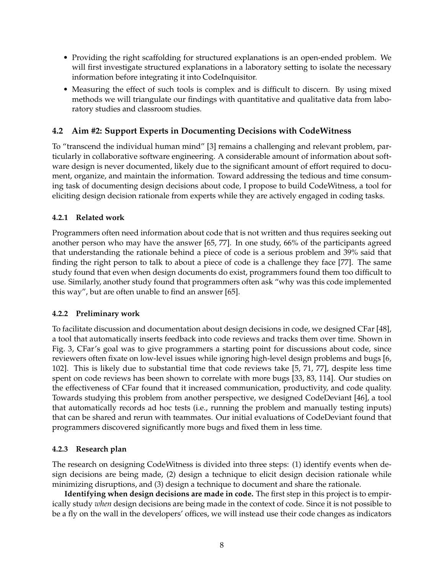- Providing the right scaffolding for structured explanations is an open-ended problem. We will first investigate structured explanations in a laboratory setting to isolate the necessary information before integrating it into CodeInquisitor.
- Measuring the effect of such tools is complex and is difficult to discern. By using mixed methods we will triangulate our findings with quantitative and qualitative data from laboratory studies and classroom studies.

### **4.2 Aim #2: Support Experts in Documenting Decisions with CodeWitness**

To "transcend the individual human mind" [3] remains a challenging and relevant problem, particularly in collaborative software engineering. A considerable amount of information about software design is never documented, likely due to the significant amount of effort required to document, organize, and maintain the information. Toward addressing the tedious and time consuming task of documenting design decisions about code, I propose to build CodeWitness, a tool for eliciting design decision rationale from experts while they are actively engaged in coding tasks.

### **4.2.1 Related work**

Programmers often need information about code that is not written and thus requires seeking out another person who may have the answer [65, 77]. In one study, 66% of the participants agreed that understanding the rationale behind a piece of code is a serious problem and 39% said that finding the right person to talk to about a piece of code is a challenge they face [77]. The same study found that even when design documents do exist, programmers found them too difficult to use. Similarly, another study found that programmers often ask "why was this code implemented this way", but are often unable to find an answer [65].

### **4.2.2 Preliminary work**

To facilitate discussion and documentation about design decisions in code, we designed CFar [48], a tool that automatically inserts feedback into code reviews and tracks them over time. Shown in Fig. 3, CFar's goal was to give programmers a starting point for discussions about code, since reviewers often fixate on low-level issues while ignoring high-level design problems and bugs [6, 102]. This is likely due to substantial time that code reviews take [5, 71, 77], despite less time spent on code reviews has been shown to correlate with more bugs [33, 83, 114]. Our studies on the effectiveness of CFar found that it increased communication, productivity, and code quality. Towards studying this problem from another perspective, we designed CodeDeviant [46], a tool that automatically records ad hoc tests (i.e., running the problem and manually testing inputs) that can be shared and rerun with teammates. Our initial evaluations of CodeDeviant found that programmers discovered significantly more bugs and fixed them in less time.

### **4.2.3 Research plan**

The research on designing CodeWitness is divided into three steps: (1) identify events when design decisions are being made, (2) design a technique to elicit design decision rationale while minimizing disruptions, and (3) design a technique to document and share the rationale.

**Identifying when design decisions are made in code.** The first step in this project is to empirically study *when* design decisions are being made in the context of code. Since it is not possible to be a fly on the wall in the developers' offices, we will instead use their code changes as indicators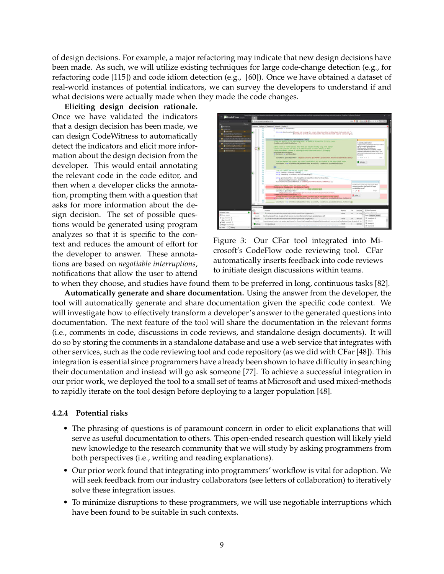of design decisions. For example, a major refactoring may indicate that new design decisions have been made. As such, we will utilize existing techniques for large code-change detection (e.g., for refactoring code [115]) and code idiom detection (e.g., [60]). Once we have obtained a dataset of real-world instances of potential indicators, we can survey the developers to understand if and what decisions were actually made when they made the code changes.

**Eliciting design decision rationale.** Once we have validated the indicators that a design decision has been made, we can design CodeWitness to automatically detect the indicators and elicit more information about the design decision from the developer. This would entail annotating the relevant code in the code editor, and then when a developer clicks the annotation, prompting them with a question that asks for more information about the design decision. The set of possible questions would be generated using program analyzes so that it is specific to the context and reduces the amount of effort for the developer to answer. These annotations are based on *negotiable interruptions*, notifications that allow the user to attend





to when they choose, and studies have found them to be preferred in long, continuous tasks [82]. **Automatically generate and share documentation.** Using the answer from the developer, the tool will automatically generate and share documentation given the specific code context. We will investigate how to effectively transform a developer's answer to the generated questions into documentation. The next feature of the tool will share the documentation in the relevant forms (i.e., comments in code, discussions in code reviews, and standalone design documents). It will do so by storing the comments in a standalone database and use a web service that integrates with other services, such as the code reviewing tool and code repository (as we did with CFar [48]). This integration is essential since programmers have already been shown to have difficulty in searching their documentation and instead will go ask someone [77]. To achieve a successful integration in our prior work, we deployed the tool to a small set of teams at Microsoft and used mixed-methods to rapidly iterate on the tool design before deploying to a larger population [48].

#### **4.2.4 Potential risks**

- The phrasing of questions is of paramount concern in order to elicit explanations that will serve as useful documentation to others. This open-ended research question will likely yield new knowledge to the research community that we will study by asking programmers from both perspectives (i.e., writing and reading explanations).
- Our prior work found that integrating into programmers' workflow is vital for adoption. We will seek feedback from our industry collaborators (see letters of collaboration) to iteratively solve these integration issues.
- To minimize disruptions to these programmers, we will use negotiable interruptions which have been found to be suitable in such contexts.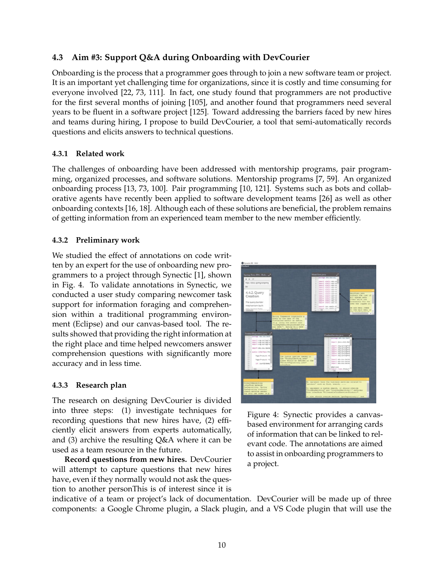## **4.3 Aim #3: Support Q&A during Onboarding with DevCourier**

Onboarding is the process that a programmer goes through to join a new software team or project. It is an important yet challenging time for organizations, since it is costly and time consuming for everyone involved [22, 73, 111]. In fact, one study found that programmers are not productive for the first several months of joining [105], and another found that programmers need several years to be fluent in a software project [125]. Toward addressing the barriers faced by new hires and teams during hiring, I propose to build DevCourier, a tool that semi-automatically records questions and elicits answers to technical questions.

### **4.3.1 Related work**

The challenges of onboarding have been addressed with mentorship programs, pair programming, organized processes, and software solutions. Mentorship programs [7, 59]. An organized onboarding process [13, 73, 100]. Pair programming [10, 121]. Systems such as bots and collaborative agents have recently been applied to software development teams [26] as well as other onboarding contexts [16, 18]. Although each of these solutions are beneficial, the problem remains of getting information from an experienced team member to the new member efficiently.

### **4.3.2 Preliminary work**

We studied the effect of annotations on code written by an expert for the use of onboarding new programmers to a project through Synectic [1], shown in Fig. 4. To validate annotations in Synectic, we conducted a user study comparing newcomer task support for information foraging and comprehension within a traditional programming environment (Eclipse) and our canvas-based tool. The results showed that providing the right information at the right place and time helped newcomers answer comprehension questions with significantly more accuracy and in less time.

### **4.3.3 Research plan**

The research on designing DevCourier is divided into three steps: (1) investigate techniques for recording questions that new hires have, (2) efficiently elicit answers from experts automatically, and (3) archive the resulting Q&A where it can be used as a team resource in the future.

**Record questions from new hires.** DevCourier will attempt to capture questions that new hires have, even if they normally would not ask the question to another personThis is of interest since it is



Figure 4: Synectic provides a canvasbased environment for arranging cards of information that can be linked to relevant code. The annotations are aimed to assist in onboarding programmers to a project.

indicative of a team or project's lack of documentation. DevCourier will be made up of three components: a Google Chrome plugin, a Slack plugin, and a VS Code plugin that will use the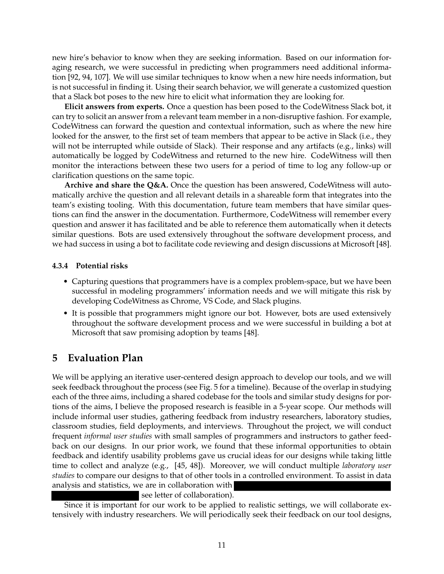new hire's behavior to know when they are seeking information. Based on our information foraging research, we were successful in predicting when programmers need additional information [92, 94, 107]. We will use similar techniques to know when a new hire needs information, but is not successful in finding it. Using their search behavior, we will generate a customized question that a Slack bot poses to the new hire to elicit what information they are looking for.

**Elicit answers from experts.** Once a question has been posed to the CodeWitness Slack bot, it can try to solicit an answer from a relevant team member in a non-disruptive fashion. For example, CodeWitness can forward the question and contextual information, such as where the new hire looked for the answer, to the first set of team members that appear to be active in Slack (i.e., they will not be interrupted while outside of Slack). Their response and any artifacts (e.g., links) will automatically be logged by CodeWitness and returned to the new hire. CodeWitness will then monitor the interactions between these two users for a period of time to log any follow-up or clarification questions on the same topic.

**Archive and share the Q&A.** Once the question has been answered, CodeWitness will automatically archive the question and all relevant details in a shareable form that integrates into the team's existing tooling. With this documentation, future team members that have similar questions can find the answer in the documentation. Furthermore, CodeWitness will remember every question and answer it has facilitated and be able to reference them automatically when it detects similar questions. Bots are used extensively throughout the software development process, and we had success in using a bot to facilitate code reviewing and design discussions at Microsoft [48].

#### **4.3.4 Potential risks**

- Capturing questions that programmers have is a complex problem-space, but we have been successful in modeling programmers' information needs and we will mitigate this risk by developing CodeWitness as Chrome, VS Code, and Slack plugins.
- It is possible that programmers might ignore our bot. However, bots are used extensively throughout the software development process and we were successful in building a bot at Microsoft that saw promising adoption by teams [48].

## **5 Evaluation Plan**

We will be applying an iterative user-centered design approach to develop our tools, and we will seek feedback throughout the process (see Fig. 5 for a timeline). Because of the overlap in studying each of the three aims, including a shared codebase for the tools and similar study designs for portions of the aims, I believe the proposed research is feasible in a 5-year scope. Our methods will include informal user studies, gathering feedback from industry researchers, laboratory studies, classroom studies, field deployments, and interviews. Throughout the project, we will conduct frequent *informal user studies* with small samples of programmers and instructors to gather feedback on our designs. In our prior work, we found that these informal opportunities to obtain feedback and identify usability problems gave us crucial ideas for our designs while taking little time to collect and analyze (e.g., [45, 48]). Moreover, we will conduct multiple *laboratory user studies* to compare our designs to that of other tools in a controlled environment. To assist in data analysis and statistics, we are in collaboration with

see letter of collaboration).

Since it is important for our work to be applied to realistic settings, we will collaborate extensively with industry researchers. We will periodically seek their feedback on our tool designs,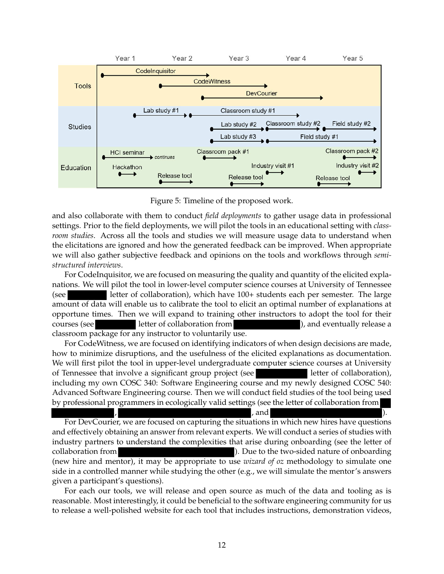

Figure 5: Timeline of the proposed work.

and also collaborate with them to conduct *field deployments* to gather usage data in professional settings. Prior to the field deployments, we will pilot the tools in an educational setting with *classroom studies*. Across all the tools and studies we will measure usage data to understand when the elicitations are ignored and how the generated feedback can be improved. When appropriate we will also gather subjective feedback and opinions on the tools and workflows through *semistructured interviews*.

For CodeInquisitor, we are focused on measuring the quality and quantity of the elicited explanations. We will pilot the tool in lower-level computer science courses at University of Tennessee (see letter of collaboration), which have 100+ students each per semester. The large amount of data will enable us to calibrate the tool to elicit an optimal number of explanations at opportune times. Then we will expand to training other instructors to adopt the tool for their courses (see letter of collaboration from ), and eventually release a classroom package for any instructor to voluntarily use.

For CodeWitness, we are focused on identifying indicators of when design decisions are made, how to minimize disruptions, and the usefulness of the elicited explanations as documentation. We will first pilot the tool in upper-level undergraduate computer science courses at University of Tennessee that involve a significant group project (see letter of collaboration), including my own COSC 340: Software Engineering course and my newly designed COSC 540: Advanced Software Engineering course. Then we will conduct field studies of the tool being used by professional programmers in ecologically valid settings (see the letter of collaboration from

### $,$  and  $,$  and  $)$ .

For DevCourier, we are focused on capturing the situations in which new hires have questions and effectively obtaining an answer from relevant experts. We will conduct a series of studies with industry partners to understand the complexities that arise during onboarding (see the letter of collaboration from ). Due to the two-sided nature of onboarding (new hire and mentor), it may be appropriate to use *wizard of oz* methodology to simulate one side in a controlled manner while studying the other (e.g., we will simulate the mentor's answers given a participant's questions).

For each our tools, we will release and open source as much of the data and tooling as is reasonable. Most interestingly, it could be beneficial to the software engineering community for us to release a well-polished website for each tool that includes instructions, demonstration videos,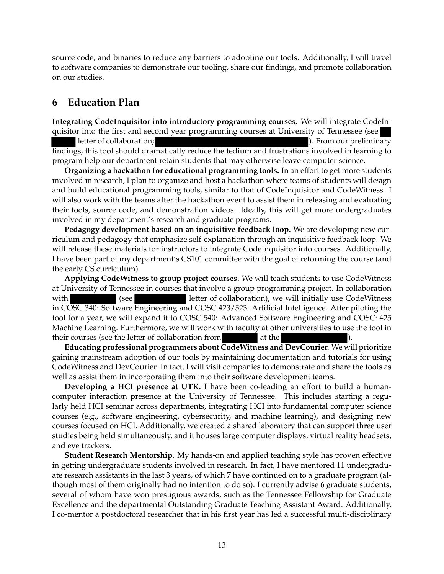source code, and binaries to reduce any barriers to adopting our tools. Additionally, I will travel to software companies to demonstrate our tooling, share our findings, and promote collaboration on our studies.

## **6 Education Plan**

**Integrating CodeInquisitor into introductory programming courses.** We will integrate CodeInquisitor into the first and second year programming courses at University of Tennessee (see letter of collaboration;  $\qquad \qquad$  ). From our preliminary findings, this tool should dramatically reduce the tedium and frustrations involved in learning to program help our department retain students that may otherwise leave computer science.

**Organizing a hackathon for educational programming tools.** In an effort to get more students involved in research, I plan to organize and host a hackathon where teams of students will design and build educational programming tools, similar to that of CodeInquisitor and CodeWitness. I will also work with the teams after the hackathon event to assist them in releasing and evaluating their tools, source code, and demonstration videos. Ideally, this will get more undergraduates involved in my department's research and graduate programs.

**Pedagogy development based on an inquisitive feedback loop.** We are developing new curriculum and pedagogy that emphasize self-explanation through an inquisitive feedback loop. We will release these materials for instructors to integrate CodeInquisitor into courses. Additionally, I have been part of my department's CS101 committee with the goal of reforming the course (and the early CS curriculum).

**Applying CodeWitness to group project courses.** We will teach students to use CodeWitness at University of Tennessee in courses that involve a group programming project. In collaboration with (see letter of collaboration), we will initially use CodeWitness in COSC 340: Software Engineering and COSC 423/523: Artificial Intelligence. After piloting the tool for a year, we will expand it to COSC 540: Advanced Software Engineering and COSC: 425 Machine Learning. Furthermore, we will work with faculty at other universities to use the tool in their courses (see the letter of collaboration from at the ).

**Educating professional programmers about CodeWitness and DevCourier.** We will prioritize gaining mainstream adoption of our tools by maintaining documentation and tutorials for using CodeWitness and DevCourier. In fact, I will visit companies to demonstrate and share the tools as well as assist them in incorporating them into their software development teams.

**Developing a HCI presence at UTK.** I have been co-leading an effort to build a humancomputer interaction presence at the University of Tennessee. This includes starting a regularly held HCI seminar across departments, integrating HCI into fundamental computer science courses (e.g., software engineering, cybersecurity, and machine learning), and designing new courses focused on HCI. Additionally, we created a shared laboratory that can support three user studies being held simultaneously, and it houses large computer displays, virtual reality headsets, and eye trackers.

**Student Research Mentorship.** My hands-on and applied teaching style has proven effective in getting undergraduate students involved in research. In fact, I have mentored 11 undergraduate research assistants in the last 3 years, of which 7 have continued on to a graduate program (although most of them originally had no intention to do so). I currently advise 6 graduate students, several of whom have won prestigious awards, such as the Tennessee Fellowship for Graduate Excellence and the departmental Outstanding Graduate Teaching Assistant Award. Additionally, I co-mentor a postdoctoral researcher that in his first year has led a successful multi-disciplinary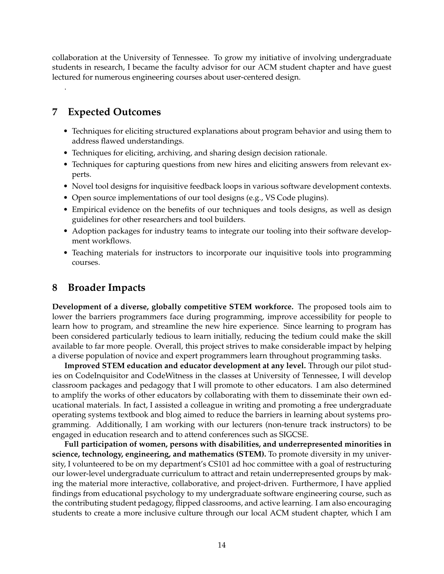collaboration at the University of Tennessee. To grow my initiative of involving undergraduate students in research, I became the faculty advisor for our ACM student chapter and have guest lectured for numerous engineering courses about user-centered design.

# **7 Expected Outcomes**

.

- Techniques for eliciting structured explanations about program behavior and using them to address flawed understandings.
- Techniques for eliciting, archiving, and sharing design decision rationale.
- Techniques for capturing questions from new hires and eliciting answers from relevant experts.
- Novel tool designs for inquisitive feedback loops in various software development contexts.
- Open source implementations of our tool designs (e.g., VS Code plugins).
- Empirical evidence on the benefits of our techniques and tools designs, as well as design guidelines for other researchers and tool builders.
- Adoption packages for industry teams to integrate our tooling into their software development workflows.
- Teaching materials for instructors to incorporate our inquisitive tools into programming courses.

### **8 Broader Impacts**

**Development of a diverse, globally competitive STEM workforce.** The proposed tools aim to lower the barriers programmers face during programming, improve accessibility for people to learn how to program, and streamline the new hire experience. Since learning to program has been considered particularly tedious to learn initially, reducing the tedium could make the skill available to far more people. Overall, this project strives to make considerable impact by helping a diverse population of novice and expert programmers learn throughout programming tasks.

**Improved STEM education and educator development at any level.** Through our pilot studies on CodeInquisitor and CodeWitness in the classes at University of Tennessee, I will develop classroom packages and pedagogy that I will promote to other educators. I am also determined to amplify the works of other educators by collaborating with them to disseminate their own educational materials. In fact, I assisted a colleague in writing and promoting a free undergraduate operating systems textbook and blog aimed to reduce the barriers in learning about systems programming. Additionally, I am working with our lecturers (non-tenure track instructors) to be engaged in education research and to attend conferences such as SIGCSE.

**Full participation of women, persons with disabilities, and underrepresented minorities in science, technology, engineering, and mathematics (STEM).** To promote diversity in my university, I volunteered to be on my department's CS101 ad hoc committee with a goal of restructuring our lower-level undergraduate curriculum to attract and retain underrepresented groups by making the material more interactive, collaborative, and project-driven. Furthermore, I have applied findings from educational psychology to my undergraduate software engineering course, such as the contributing student pedagogy, flipped classrooms, and active learning. I am also encouraging students to create a more inclusive culture through our local ACM student chapter, which I am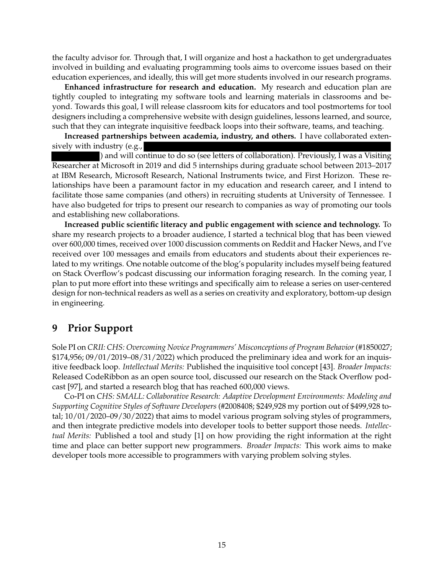the faculty advisor for. Through that, I will organize and host a hackathon to get undergraduates involved in building and evaluating programming tools aims to overcome issues based on their education experiences, and ideally, this will get more students involved in our research programs.

**Enhanced infrastructure for research and education.** My research and education plan are tightly coupled to integrating my software tools and learning materials in classrooms and beyond. Towards this goal, I will release classroom kits for educators and tool postmortems for tool designers including a comprehensive website with design guidelines, lessons learned, and source, such that they can integrate inquisitive feedback loops into their software, teams, and teaching.

**Increased partnerships between academia, industry, and others.** I have collaborated extensively with industry (e.g.,

) and will continue to do so (see letters of collaboration). Previously, I was a Visiting Researcher at Microsoft in 2019 and did 5 internships during graduate school between 2013–2017 at IBM Research, Microsoft Research, National Instruments twice, and First Horizon. These relationships have been a paramount factor in my education and research career, and I intend to facilitate those same companies (and others) in recruiting students at University of Tennessee. I have also budgeted for trips to present our research to companies as way of promoting our tools and establishing new collaborations.

**Increased public scientific literacy and public engagement with science and technology.** To share my research projects to a broader audience, I started a technical blog that has been viewed over 600,000 times, received over 1000 discussion comments on Reddit and Hacker News, and I've received over 100 messages and emails from educators and students about their experiences related to my writings. One notable outcome of the blog's popularity includes myself being featured on Stack Overflow's podcast discussing our information foraging research. In the coming year, I plan to put more effort into these writings and specifically aim to release a series on user-centered design for non-technical readers as well as a series on creativity and exploratory, bottom-up design in engineering.

## **9 Prior Support**

Sole PI on *CRII: CHS: Overcoming Novice Programmers' Misconceptions of Program Behavior*(#1850027; \$174,956; 09/01/2019–08/31/2022) which produced the preliminary idea and work for an inquisitive feedback loop. *Intellectual Merits:* Published the inquisitive tool concept [43]. *Broader Impacts:* Released CodeRibbon as an open source tool, discussed our research on the Stack Overflow podcast [97], and started a research blog that has reached 600,000 views.

Co-PI on *CHS: SMALL: Collaborative Research: Adaptive Development Environments: Modeling and Supporting Cognitive Styles of Software Developers* (#2008408; \$249,928 my portion out of \$499,928 total; 10/01/2020–09/30/2022) that aims to model various program solving styles of programmers, and then integrate predictive models into developer tools to better support those needs. *Intellectual Merits:* Published a tool and study [1] on how providing the right information at the right time and place can better support new programmers. *Broader Impacts:* This work aims to make developer tools more accessible to programmers with varying problem solving styles.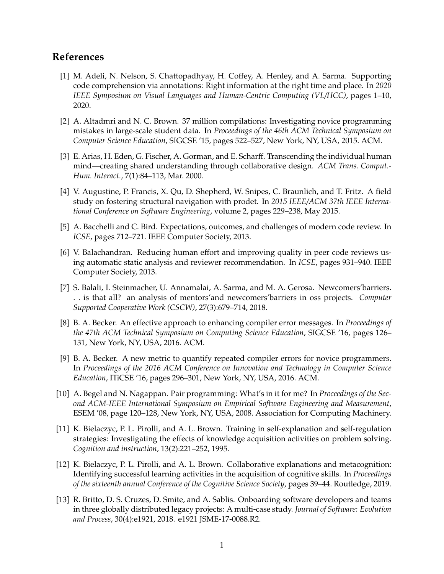# **References**

- [1] M. Adeli, N. Nelson, S. Chattopadhyay, H. Coffey, A. Henley, and A. Sarma. Supporting code comprehension via annotations: Right information at the right time and place. In *2020 IEEE Symposium on Visual Languages and Human-Centric Computing (VL/HCC)*, pages 1–10, 2020.
- [2] A. Altadmri and N. C. Brown. 37 million compilations: Investigating novice programming mistakes in large-scale student data. In *Proceedings of the 46th ACM Technical Symposium on Computer Science Education*, SIGCSE '15, pages 522–527, New York, NY, USA, 2015. ACM.
- [3] E. Arias, H. Eden, G. Fischer, A. Gorman, and E. Scharff. Transcending the individual human mind—creating shared understanding through collaborative design. *ACM Trans. Comput.- Hum. Interact.*, 7(1):84–113, Mar. 2000.
- [4] V. Augustine, P. Francis, X. Qu, D. Shepherd, W. Snipes, C. Braunlich, and T. Fritz. A field study on fostering structural navigation with prodet. In *2015 IEEE/ACM 37th IEEE International Conference on Software Engineering*, volume 2, pages 229–238, May 2015.
- [5] A. Bacchelli and C. Bird. Expectations, outcomes, and challenges of modern code review. In *ICSE*, pages 712–721. IEEE Computer Society, 2013.
- [6] V. Balachandran. Reducing human effort and improving quality in peer code reviews using automatic static analysis and reviewer recommendation. In *ICSE*, pages 931–940. IEEE Computer Society, 2013.
- [7] S. Balali, I. Steinmacher, U. Annamalai, A. Sarma, and M. A. Gerosa. Newcomers'barriers. . . is that all? an analysis of mentors'and newcomers'barriers in oss projects. *Computer Supported Cooperative Work (CSCW)*, 27(3):679–714, 2018.
- [8] B. A. Becker. An effective approach to enhancing compiler error messages. In *Proceedings of the 47th ACM Technical Symposium on Computing Science Education*, SIGCSE '16, pages 126– 131, New York, NY, USA, 2016. ACM.
- [9] B. A. Becker. A new metric to quantify repeated compiler errors for novice programmers. In *Proceedings of the 2016 ACM Conference on Innovation and Technology in Computer Science Education*, ITiCSE '16, pages 296–301, New York, NY, USA, 2016. ACM.
- [10] A. Begel and N. Nagappan. Pair programming: What's in it for me? In *Proceedings of the Second ACM-IEEE International Symposium on Empirical Software Engineering and Measurement*, ESEM '08, page 120–128, New York, NY, USA, 2008. Association for Computing Machinery.
- [11] K. Bielaczyc, P. L. Pirolli, and A. L. Brown. Training in self-explanation and self-regulation strategies: Investigating the effects of knowledge acquisition activities on problem solving. *Cognition and instruction*, 13(2):221–252, 1995.
- [12] K. Bielaczyc, P. L. Pirolli, and A. L. Brown. Collaborative explanations and metacognition: Identifying successful learning activities in the acquisition of cognitive skills. In *Proceedings of the sixteenth annual Conference of the Cognitive Science Society*, pages 39–44. Routledge, 2019.
- [13] R. Britto, D. S. Cruzes, D. Smite, and A. Sablis. Onboarding software developers and teams in three globally distributed legacy projects: A multi-case study. *Journal of Software: Evolution and Process*, 30(4):e1921, 2018. e1921 JSME-17-0088.R2.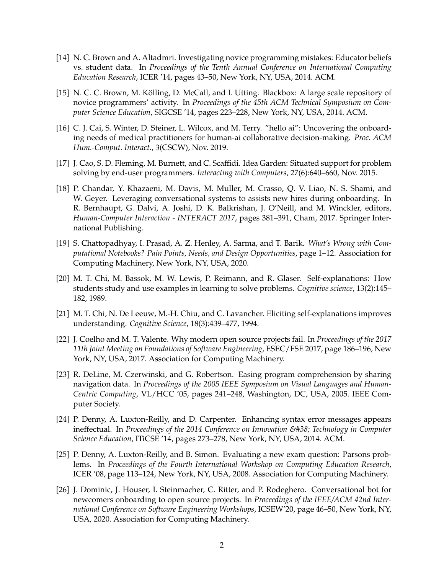- [14] N. C. Brown and A. Altadmri. Investigating novice programming mistakes: Educator beliefs vs. student data. In *Proceedings of the Tenth Annual Conference on International Computing Education Research*, ICER '14, pages 43–50, New York, NY, USA, 2014. ACM.
- [15] N. C. C. Brown, M. Kölling, D. McCall, and I. Utting. Blackbox: A large scale repository of novice programmers' activity. In *Proceedings of the 45th ACM Technical Symposium on Computer Science Education*, SIGCSE '14, pages 223–228, New York, NY, USA, 2014. ACM.
- [16] C. J. Cai, S. Winter, D. Steiner, L. Wilcox, and M. Terry. "hello ai": Uncovering the onboarding needs of medical practitioners for human-ai collaborative decision-making. *Proc. ACM Hum.-Comput. Interact.*, 3(CSCW), Nov. 2019.
- [17] J. Cao, S. D. Fleming, M. Burnett, and C. Scaffidi. Idea Garden: Situated support for problem solving by end-user programmers. *Interacting with Computers*, 27(6):640–660, Nov. 2015.
- [18] P. Chandar, Y. Khazaeni, M. Davis, M. Muller, M. Crasso, Q. V. Liao, N. S. Shami, and W. Geyer. Leveraging conversational systems to assists new hires during onboarding. In R. Bernhaupt, G. Dalvi, A. Joshi, D. K. Balkrishan, J. O'Neill, and M. Winckler, editors, *Human-Computer Interaction - INTERACT 2017*, pages 381–391, Cham, 2017. Springer International Publishing.
- [19] S. Chattopadhyay, I. Prasad, A. Z. Henley, A. Sarma, and T. Barik. *What's Wrong with Computational Notebooks? Pain Points, Needs, and Design Opportunities*, page 1–12. Association for Computing Machinery, New York, NY, USA, 2020.
- [20] M. T. Chi, M. Bassok, M. W. Lewis, P. Reimann, and R. Glaser. Self-explanations: How students study and use examples in learning to solve problems. *Cognitive science*, 13(2):145– 182, 1989.
- [21] M. T. Chi, N. De Leeuw, M.-H. Chiu, and C. Lavancher. Eliciting self-explanations improves understanding. *Cognitive Science*, 18(3):439–477, 1994.
- [22] J. Coelho and M. T. Valente. Why modern open source projects fail. In *Proceedings of the 2017 11th Joint Meeting on Foundations of Software Engineering*, ESEC/FSE 2017, page 186–196, New York, NY, USA, 2017. Association for Computing Machinery.
- [23] R. DeLine, M. Czerwinski, and G. Robertson. Easing program comprehension by sharing navigation data. In *Proceedings of the 2005 IEEE Symposium on Visual Languages and Human-Centric Computing*, VL/HCC '05, pages 241–248, Washington, DC, USA, 2005. IEEE Computer Society.
- [24] P. Denny, A. Luxton-Reilly, and D. Carpenter. Enhancing syntax error messages appears ineffectual. In *Proceedings of the 2014 Conference on Innovation & Technology in Computer Science Education*, ITiCSE '14, pages 273–278, New York, NY, USA, 2014. ACM.
- [25] P. Denny, A. Luxton-Reilly, and B. Simon. Evaluating a new exam question: Parsons problems. In *Proceedings of the Fourth International Workshop on Computing Education Research*, ICER '08, page 113–124, New York, NY, USA, 2008. Association for Computing Machinery.
- [26] J. Dominic, J. Houser, I. Steinmacher, C. Ritter, and P. Rodeghero. Conversational bot for newcomers onboarding to open source projects. In *Proceedings of the IEEE/ACM 42nd International Conference on Software Engineering Workshops*, ICSEW'20, page 46–50, New York, NY, USA, 2020. Association for Computing Machinery.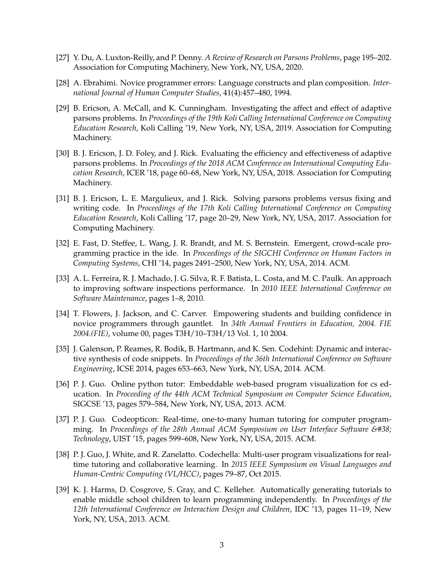- [27] Y. Du, A. Luxton-Reilly, and P. Denny. *A Review of Research on Parsons Problems*, page 195–202. Association for Computing Machinery, New York, NY, USA, 2020.
- [28] A. Ebrahimi. Novice programmer errors: Language constructs and plan composition. *International Journal of Human Computer Studies*, 41(4):457–480, 1994.
- [29] B. Ericson, A. McCall, and K. Cunningham. Investigating the affect and effect of adaptive parsons problems. In *Proceedings of the 19th Koli Calling International Conference on Computing Education Research*, Koli Calling '19, New York, NY, USA, 2019. Association for Computing Machinery.
- [30] B. J. Ericson, J. D. Foley, and J. Rick. Evaluating the efficiency and effectiveness of adaptive parsons problems. In *Proceedings of the 2018 ACM Conference on International Computing Education Research*, ICER '18, page 60–68, New York, NY, USA, 2018. Association for Computing Machinery.
- [31] B. J. Ericson, L. E. Margulieux, and J. Rick. Solving parsons problems versus fixing and writing code. In *Proceedings of the 17th Koli Calling International Conference on Computing Education Research*, Koli Calling '17, page 20–29, New York, NY, USA, 2017. Association for Computing Machinery.
- [32] E. Fast, D. Steffee, L. Wang, J. R. Brandt, and M. S. Bernstein. Emergent, crowd-scale programming practice in the ide. In *Proceedings of the SIGCHI Conference on Human Factors in Computing Systems*, CHI '14, pages 2491–2500, New York, NY, USA, 2014. ACM.
- [33] A. L. Ferreira, R. J. Machado, J. G. Silva, R. F. Batista, L. Costa, and M. C. Paulk. An approach to improving software inspections performance. In *2010 IEEE International Conference on Software Maintenance*, pages 1–8, 2010.
- [34] T. Flowers, J. Jackson, and C. Carver. Empowering students and building confidence in novice programmers through gauntlet. In *34th Annual Frontiers in Education, 2004. FIE 2004.(FIE)*, volume 00, pages T3H/10–T3H/13 Vol. 1, 10 2004.
- [35] J. Galenson, P. Reames, R. Bodik, B. Hartmann, and K. Sen. Codehint: Dynamic and interactive synthesis of code snippets. In *Proceedings of the 36th International Conference on Software Engineering*, ICSE 2014, pages 653–663, New York, NY, USA, 2014. ACM.
- [36] P. J. Guo. Online python tutor: Embeddable web-based program visualization for cs education. In *Proceeding of the 44th ACM Technical Symposium on Computer Science Education*, SIGCSE '13, pages 579–584, New York, NY, USA, 2013. ACM.
- [37] P. J. Guo. Codeopticon: Real-time, one-to-many human tutoring for computer programming. In *Proceedings of the 28th Annual ACM Symposium on User Interface Software & Technology*, UIST '15, pages 599–608, New York, NY, USA, 2015. ACM.
- [38] P. J. Guo, J. White, and R. Zanelatto. Codechella: Multi-user program visualizations for realtime tutoring and collaborative learning. In *2015 IEEE Symposium on Visual Languages and Human-Centric Computing (VL/HCC)*, pages 79–87, Oct 2015.
- [39] K. J. Harms, D. Cosgrove, S. Gray, and C. Kelleher. Automatically generating tutorials to enable middle school children to learn programming independently. In *Proceedings of the 12th International Conference on Interaction Design and Children*, IDC '13, pages 11–19, New York, NY, USA, 2013. ACM.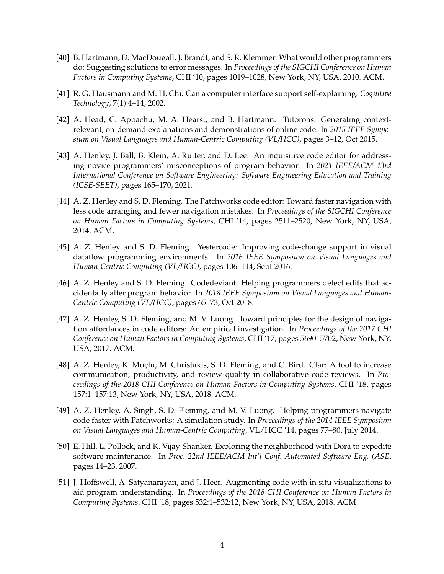- [40] B. Hartmann, D. MacDougall, J. Brandt, and S. R. Klemmer. What would other programmers do: Suggesting solutions to error messages. In *Proceedings of the SIGCHI Conference on Human Factors in Computing Systems*, CHI '10, pages 1019–1028, New York, NY, USA, 2010. ACM.
- [41] R. G. Hausmann and M. H. Chi. Can a computer interface support self-explaining. *Cognitive Technology*, 7(1):4–14, 2002.
- [42] A. Head, C. Appachu, M. A. Hearst, and B. Hartmann. Tutorons: Generating contextrelevant, on-demand explanations and demonstrations of online code. In *2015 IEEE Symposium on Visual Languages and Human-Centric Computing (VL/HCC)*, pages 3–12, Oct 2015.
- [43] A. Henley, J. Ball, B. Klein, A. Rutter, and D. Lee. An inquisitive code editor for addressing novice programmers' misconceptions of program behavior. In *2021 IEEE/ACM 43rd International Conference on Software Engineering: Software Engineering Education and Training (ICSE-SEET)*, pages 165–170, 2021.
- [44] A. Z. Henley and S. D. Fleming. The Patchworks code editor: Toward faster navigation with less code arranging and fewer navigation mistakes. In *Proceedings of the SIGCHI Conference on Human Factors in Computing Systems*, CHI '14, pages 2511–2520, New York, NY, USA, 2014. ACM.
- [45] A. Z. Henley and S. D. Fleming. Yestercode: Improving code-change support in visual dataflow programming environments. In *2016 IEEE Symposium on Visual Languages and Human-Centric Computing (VL/HCC)*, pages 106–114, Sept 2016.
- [46] A. Z. Henley and S. D. Fleming. Codedeviant: Helping programmers detect edits that accidentally alter program behavior. In *2018 IEEE Symposium on Visual Languages and Human-Centric Computing (VL/HCC)*, pages 65–73, Oct 2018.
- [47] A. Z. Henley, S. D. Fleming, and M. V. Luong. Toward principles for the design of navigation affordances in code editors: An empirical investigation. In *Proceedings of the 2017 CHI Conference on Human Factors in Computing Systems*, CHI '17, pages 5690–5702, New York, NY, USA, 2017. ACM.
- [48] A. Z. Henley, K. Muçlu, M. Christakis, S. D. Fleming, and C. Bird. Cfar: A tool to increase communication, productivity, and review quality in collaborative code reviews. In *Proceedings of the 2018 CHI Conference on Human Factors in Computing Systems*, CHI '18, pages 157:1–157:13, New York, NY, USA, 2018. ACM.
- [49] A. Z. Henley, A. Singh, S. D. Fleming, and M. V. Luong. Helping programmers navigate code faster with Patchworks: A simulation study. In *Proceedings of the 2014 IEEE Symposium on Visual Languages and Human-Centric Computing*, VL/HCC '14, pages 77–80, July 2014.
- [50] E. Hill, L. Pollock, and K. Vijay-Shanker. Exploring the neighborhood with Dora to expedite software maintenance. In *Proc. 22nd IEEE/ACM Int'l Conf. Automated Software Eng. (ASE*, pages 14–23, 2007.
- [51] J. Hoffswell, A. Satyanarayan, and J. Heer. Augmenting code with in situ visualizations to aid program understanding. In *Proceedings of the 2018 CHI Conference on Human Factors in Computing Systems*, CHI '18, pages 532:1–532:12, New York, NY, USA, 2018. ACM.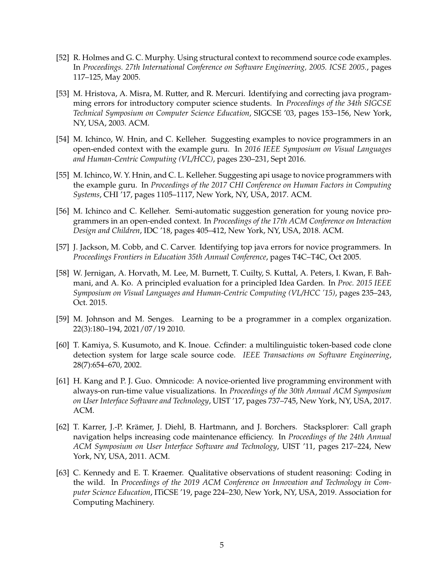- [52] R. Holmes and G. C. Murphy. Using structural context to recommend source code examples. In *Proceedings. 27th International Conference on Software Engineering, 2005. ICSE 2005.*, pages 117–125, May 2005.
- [53] M. Hristova, A. Misra, M. Rutter, and R. Mercuri. Identifying and correcting java programming errors for introductory computer science students. In *Proceedings of the 34th SIGCSE Technical Symposium on Computer Science Education*, SIGCSE '03, pages 153–156, New York, NY, USA, 2003. ACM.
- [54] M. Ichinco, W. Hnin, and C. Kelleher. Suggesting examples to novice programmers in an open-ended context with the example guru. In *2016 IEEE Symposium on Visual Languages and Human-Centric Computing (VL/HCC)*, pages 230–231, Sept 2016.
- [55] M. Ichinco, W. Y. Hnin, and C. L. Kelleher. Suggesting api usage to novice programmers with the example guru. In *Proceedings of the 2017 CHI Conference on Human Factors in Computing Systems*, CHI '17, pages 1105–1117, New York, NY, USA, 2017. ACM.
- [56] M. Ichinco and C. Kelleher. Semi-automatic suggestion generation for young novice programmers in an open-ended context. In *Proceedings of the 17th ACM Conference on Interaction Design and Children*, IDC '18, pages 405–412, New York, NY, USA, 2018. ACM.
- [57] J. Jackson, M. Cobb, and C. Carver. Identifying top java errors for novice programmers. In *Proceedings Frontiers in Education 35th Annual Conference*, pages T4C–T4C, Oct 2005.
- [58] W. Jernigan, A. Horvath, M. Lee, M. Burnett, T. Cuilty, S. Kuttal, A. Peters, I. Kwan, F. Bahmani, and A. Ko. A principled evaluation for a principled Idea Garden. In *Proc. 2015 IEEE Symposium on Visual Languages and Human-Centric Computing (VL/HCC '15)*, pages 235–243, Oct. 2015.
- [59] M. Johnson and M. Senges. Learning to be a programmer in a complex organization. 22(3):180–194, 2021/07/19 2010.
- [60] T. Kamiya, S. Kusumoto, and K. Inoue. Ccfinder: a multilinguistic token-based code clone detection system for large scale source code. *IEEE Transactions on Software Engineering*, 28(7):654–670, 2002.
- [61] H. Kang and P. J. Guo. Omnicode: A novice-oriented live programming environment with always-on run-time value visualizations. In *Proceedings of the 30th Annual ACM Symposium on User Interface Software and Technology*, UIST '17, pages 737–745, New York, NY, USA, 2017. ACM.
- [62] T. Karrer, J.-P. Kramer, J. Diehl, B. Hartmann, and J. Borchers. Stacksplorer: Call graph ¨ navigation helps increasing code maintenance efficiency. In *Proceedings of the 24th Annual ACM Symposium on User Interface Software and Technology*, UIST '11, pages 217–224, New York, NY, USA, 2011. ACM.
- [63] C. Kennedy and E. T. Kraemer. Qualitative observations of student reasoning: Coding in the wild. In *Proceedings of the 2019 ACM Conference on Innovation and Technology in Computer Science Education*, ITiCSE '19, page 224–230, New York, NY, USA, 2019. Association for Computing Machinery.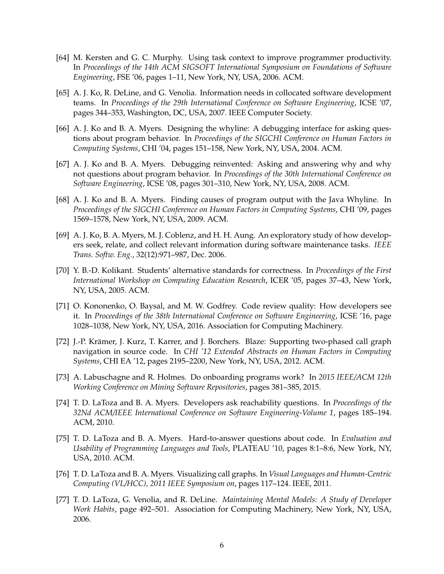- [64] M. Kersten and G. C. Murphy. Using task context to improve programmer productivity. In *Proceedings of the 14th ACM SIGSOFT International Symposium on Foundations of Software Engineering*, FSE '06, pages 1–11, New York, NY, USA, 2006. ACM.
- [65] A. J. Ko, R. DeLine, and G. Venolia. Information needs in collocated software development teams. In *Proceedings of the 29th International Conference on Software Engineering*, ICSE '07, pages 344–353, Washington, DC, USA, 2007. IEEE Computer Society.
- [66] A. J. Ko and B. A. Myers. Designing the whyline: A debugging interface for asking questions about program behavior. In *Proceedings of the SIGCHI Conference on Human Factors in Computing Systems*, CHI '04, pages 151–158, New York, NY, USA, 2004. ACM.
- [67] A. J. Ko and B. A. Myers. Debugging reinvented: Asking and answering why and why not questions about program behavior. In *Proceedings of the 30th International Conference on Software Engineering*, ICSE '08, pages 301–310, New York, NY, USA, 2008. ACM.
- [68] A. J. Ko and B. A. Myers. Finding causes of program output with the Java Whyline. In *Proceedings of the SIGCHI Conference on Human Factors in Computing Systems*, CHI '09, pages 1569–1578, New York, NY, USA, 2009. ACM.
- [69] A. J. Ko, B. A. Myers, M. J. Coblenz, and H. H. Aung. An exploratory study of how developers seek, relate, and collect relevant information during software maintenance tasks. *IEEE Trans. Softw. Eng.*, 32(12):971–987, Dec. 2006.
- [70] Y. B.-D. Kolikant. Students' alternative standards for correctness. In *Proceedings of the First International Workshop on Computing Education Research*, ICER '05, pages 37–43, New York, NY, USA, 2005. ACM.
- [71] O. Kononenko, O. Baysal, and M. W. Godfrey. Code review quality: How developers see it. In *Proceedings of the 38th International Conference on Software Engineering*, ICSE '16, page 1028–1038, New York, NY, USA, 2016. Association for Computing Machinery.
- [72] J.-P. Krämer, J. Kurz, T. Karrer, and J. Borchers. Blaze: Supporting two-phased call graph navigation in source code. In *CHI '12 Extended Abstracts on Human Factors in Computing Systems*, CHI EA '12, pages 2195–2200, New York, NY, USA, 2012. ACM.
- [73] A. Labuschagne and R. Holmes. Do onboarding programs work? In *2015 IEEE/ACM 12th Working Conference on Mining Software Repositories*, pages 381–385, 2015.
- [74] T. D. LaToza and B. A. Myers. Developers ask reachability questions. In *Proceedings of the 32Nd ACM/IEEE International Conference on Software Engineering-Volume 1*, pages 185–194. ACM, 2010.
- [75] T. D. LaToza and B. A. Myers. Hard-to-answer questions about code. In *Evaluation and Usability of Programming Languages and Tools*, PLATEAU '10, pages 8:1–8:6, New York, NY, USA, 2010. ACM.
- [76] T. D. LaToza and B. A. Myers. Visualizing call graphs. In *Visual Languages and Human-Centric Computing (VL/HCC), 2011 IEEE Symposium on*, pages 117–124. IEEE, 2011.
- [77] T. D. LaToza, G. Venolia, and R. DeLine. *Maintaining Mental Models: A Study of Developer Work Habits*, page 492–501. Association for Computing Machinery, New York, NY, USA, 2006.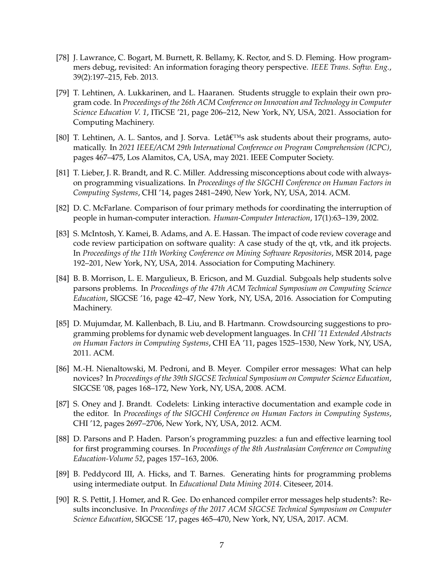- [78] J. Lawrance, C. Bogart, M. Burnett, R. Bellamy, K. Rector, and S. D. Fleming. How programmers debug, revisited: An information foraging theory perspective. *IEEE Trans. Softw. Eng.*, 39(2):197–215, Feb. 2013.
- [79] T. Lehtinen, A. Lukkarinen, and L. Haaranen. Students struggle to explain their own program code. In *Proceedings of the 26th ACM Conference on Innovation and Technology in Computer Science Education V. 1*, ITiCSE '21, page 206–212, New York, NY, USA, 2021. Association for Computing Machinery.
- [80] T. Lehtinen, A. L. Santos, and J. Sorva. Leta $\mathbf{f}^{\text{TM}}$ s ask students about their programs, automatically. In *2021 IEEE/ACM 29th International Conference on Program Comprehension (ICPC)*, pages 467–475, Los Alamitos, CA, USA, may 2021. IEEE Computer Society.
- [81] T. Lieber, J. R. Brandt, and R. C. Miller. Addressing misconceptions about code with alwayson programming visualizations. In *Proceedings of the SIGCHI Conference on Human Factors in Computing Systems*, CHI '14, pages 2481–2490, New York, NY, USA, 2014. ACM.
- [82] D. C. McFarlane. Comparison of four primary methods for coordinating the interruption of people in human-computer interaction. *Human-Computer Interaction*, 17(1):63–139, 2002.
- [83] S. McIntosh, Y. Kamei, B. Adams, and A. E. Hassan. The impact of code review coverage and code review participation on software quality: A case study of the qt, vtk, and itk projects. In *Proceedings of the 11th Working Conference on Mining Software Repositories*, MSR 2014, page 192–201, New York, NY, USA, 2014. Association for Computing Machinery.
- [84] B. B. Morrison, L. E. Margulieux, B. Ericson, and M. Guzdial. Subgoals help students solve parsons problems. In *Proceedings of the 47th ACM Technical Symposium on Computing Science Education*, SIGCSE '16, page 42–47, New York, NY, USA, 2016. Association for Computing Machinery.
- [85] D. Mujumdar, M. Kallenbach, B. Liu, and B. Hartmann. Crowdsourcing suggestions to programming problems for dynamic web development languages. In *CHI '11 Extended Abstracts on Human Factors in Computing Systems*, CHI EA '11, pages 1525–1530, New York, NY, USA, 2011. ACM.
- [86] M.-H. Nienaltowski, M. Pedroni, and B. Meyer. Compiler error messages: What can help novices? In *Proceedings of the 39th SIGCSE Technical Symposium on Computer Science Education*, SIGCSE '08, pages 168–172, New York, NY, USA, 2008. ACM.
- [87] S. Oney and J. Brandt. Codelets: Linking interactive documentation and example code in the editor. In *Proceedings of the SIGCHI Conference on Human Factors in Computing Systems*, CHI '12, pages 2697–2706, New York, NY, USA, 2012. ACM.
- [88] D. Parsons and P. Haden. Parson's programming puzzles: a fun and effective learning tool for first programming courses. In *Proceedings of the 8th Australasian Conference on Computing Education-Volume 52*, pages 157–163, 2006.
- [89] B. Peddycord III, A. Hicks, and T. Barnes. Generating hints for programming problems using intermediate output. In *Educational Data Mining 2014*. Citeseer, 2014.
- [90] R. S. Pettit, J. Homer, and R. Gee. Do enhanced compiler error messages help students?: Results inconclusive. In *Proceedings of the 2017 ACM SIGCSE Technical Symposium on Computer Science Education*, SIGCSE '17, pages 465–470, New York, NY, USA, 2017. ACM.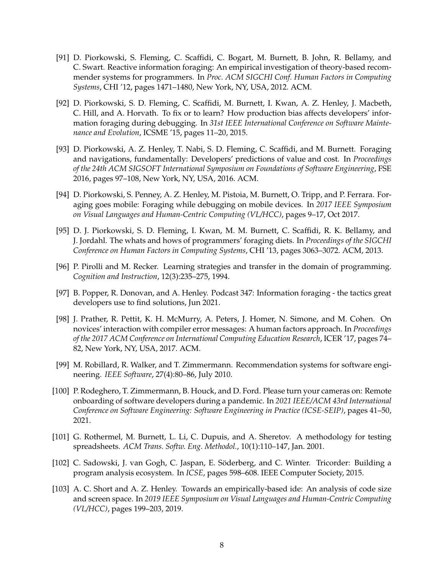- [91] D. Piorkowski, S. Fleming, C. Scaffidi, C. Bogart, M. Burnett, B. John, R. Bellamy, and C. Swart. Reactive information foraging: An empirical investigation of theory-based recommender systems for programmers. In *Proc. ACM SIGCHI Conf. Human Factors in Computing Systems*, CHI '12, pages 1471–1480, New York, NY, USA, 2012. ACM.
- [92] D. Piorkowski, S. D. Fleming, C. Scaffidi, M. Burnett, I. Kwan, A. Z. Henley, J. Macbeth, C. Hill, and A. Horvath. To fix or to learn? How production bias affects developers' information foraging during debugging. In *31st IEEE International Conference on Software Maintenance and Evolution*, ICSME '15, pages 11–20, 2015.
- [93] D. Piorkowski, A. Z. Henley, T. Nabi, S. D. Fleming, C. Scaffidi, and M. Burnett. Foraging and navigations, fundamentally: Developers' predictions of value and cost. In *Proceedings of the 24th ACM SIGSOFT International Symposium on Foundations of Software Engineering*, FSE 2016, pages 97–108, New York, NY, USA, 2016. ACM.
- [94] D. Piorkowski, S. Penney, A. Z. Henley, M. Pistoia, M. Burnett, O. Tripp, and P. Ferrara. Foraging goes mobile: Foraging while debugging on mobile devices. In *2017 IEEE Symposium on Visual Languages and Human-Centric Computing (VL/HCC)*, pages 9–17, Oct 2017.
- [95] D. J. Piorkowski, S. D. Fleming, I. Kwan, M. M. Burnett, C. Scaffidi, R. K. Bellamy, and J. Jordahl. The whats and hows of programmers' foraging diets. In *Proceedings of the SIGCHI Conference on Human Factors in Computing Systems*, CHI '13, pages 3063–3072. ACM, 2013.
- [96] P. Pirolli and M. Recker. Learning strategies and transfer in the domain of programming. *Cognition and Instruction*, 12(3):235–275, 1994.
- [97] B. Popper, R. Donovan, and A. Henley. Podcast 347: Information foraging the tactics great developers use to find solutions, Jun 2021.
- [98] J. Prather, R. Pettit, K. H. McMurry, A. Peters, J. Homer, N. Simone, and M. Cohen. On novices' interaction with compiler error messages: A human factors approach. In *Proceedings of the 2017 ACM Conference on International Computing Education Research*, ICER '17, pages 74– 82, New York, NY, USA, 2017. ACM.
- [99] M. Robillard, R. Walker, and T. Zimmermann. Recommendation systems for software engineering. *IEEE Software*, 27(4):80–86, July 2010.
- [100] P. Rodeghero, T. Zimmermann, B. Houck, and D. Ford. Please turn your cameras on: Remote onboarding of software developers during a pandemic. In *2021 IEEE/ACM 43rd International Conference on Software Engineering: Software Engineering in Practice (ICSE-SEIP)*, pages 41–50, 2021.
- [101] G. Rothermel, M. Burnett, L. Li, C. Dupuis, and A. Sheretov. A methodology for testing spreadsheets. *ACM Trans. Softw. Eng. Methodol.*, 10(1):110–147, Jan. 2001.
- [102] C. Sadowski, J. van Gogh, C. Jaspan, E. Söderberg, and C. Winter. Tricorder: Building a program analysis ecosystem. In *ICSE*, pages 598–608. IEEE Computer Society, 2015.
- [103] A. C. Short and A. Z. Henley. Towards an empirically-based ide: An analysis of code size and screen space. In *2019 IEEE Symposium on Visual Languages and Human-Centric Computing (VL/HCC)*, pages 199–203, 2019.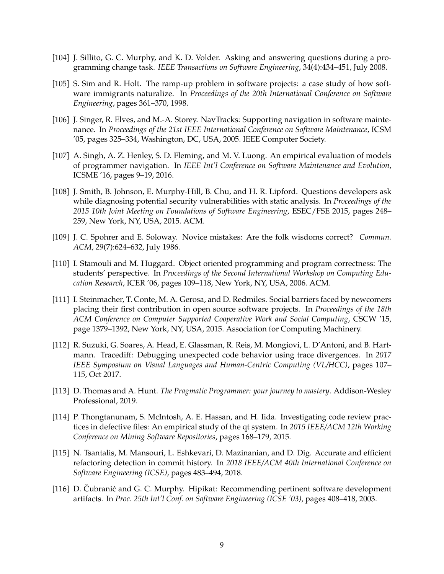- [104] J. Sillito, G. C. Murphy, and K. D. Volder. Asking and answering questions during a programming change task. *IEEE Transactions on Software Engineering*, 34(4):434–451, July 2008.
- [105] S. Sim and R. Holt. The ramp-up problem in software projects: a case study of how software immigrants naturalize. In *Proceedings of the 20th International Conference on Software Engineering*, pages 361–370, 1998.
- [106] J. Singer, R. Elves, and M.-A. Storey. NavTracks: Supporting navigation in software maintenance. In *Proceedings of the 21st IEEE International Conference on Software Maintenance*, ICSM '05, pages 325–334, Washington, DC, USA, 2005. IEEE Computer Society.
- [107] A. Singh, A. Z. Henley, S. D. Fleming, and M. V. Luong. An empirical evaluation of models of programmer navigation. In *IEEE Int'l Conference on Software Maintenance and Evolution*, ICSME '16, pages 9–19, 2016.
- [108] J. Smith, B. Johnson, E. Murphy-Hill, B. Chu, and H. R. Lipford. Questions developers ask while diagnosing potential security vulnerabilities with static analysis. In *Proceedings of the 2015 10th Joint Meeting on Foundations of Software Engineering*, ESEC/FSE 2015, pages 248– 259, New York, NY, USA, 2015. ACM.
- [109] J. C. Spohrer and E. Soloway. Novice mistakes: Are the folk wisdoms correct? *Commun. ACM*, 29(7):624–632, July 1986.
- [110] I. Stamouli and M. Huggard. Object oriented programming and program correctness: The students' perspective. In *Proceedings of the Second International Workshop on Computing Education Research*, ICER '06, pages 109–118, New York, NY, USA, 2006. ACM.
- [111] I. Steinmacher, T. Conte, M. A. Gerosa, and D. Redmiles. Social barriers faced by newcomers placing their first contribution in open source software projects. In *Proceedings of the 18th ACM Conference on Computer Supported Cooperative Work and Social Computing*, CSCW '15, page 1379–1392, New York, NY, USA, 2015. Association for Computing Machinery.
- [112] R. Suzuki, G. Soares, A. Head, E. Glassman, R. Reis, M. Mongiovi, L. D'Antoni, and B. Hartmann. Tracediff: Debugging unexpected code behavior using trace divergences. In *2017 IEEE Symposium on Visual Languages and Human-Centric Computing (VL/HCC)*, pages 107– 115, Oct 2017.
- [113] D. Thomas and A. Hunt. *The Pragmatic Programmer: your journey to mastery*. Addison-Wesley Professional, 2019.
- [114] P. Thongtanunam, S. McIntosh, A. E. Hassan, and H. Iida. Investigating code review practices in defective files: An empirical study of the qt system. In *2015 IEEE/ACM 12th Working Conference on Mining Software Repositories*, pages 168–179, 2015.
- [115] N. Tsantalis, M. Mansouri, L. Eshkevari, D. Mazinanian, and D. Dig. Accurate and efficient refactoring detection in commit history. In *2018 IEEE/ACM 40th International Conference on Software Engineering (ICSE)*, pages 483–494, 2018.
- [116] D. Čubranić and G. C. Murphy. Hipikat: Recommending pertinent software development artifacts. In *Proc. 25th Int'l Conf. on Software Engineering (ICSE '03)*, pages 408–418, 2003.